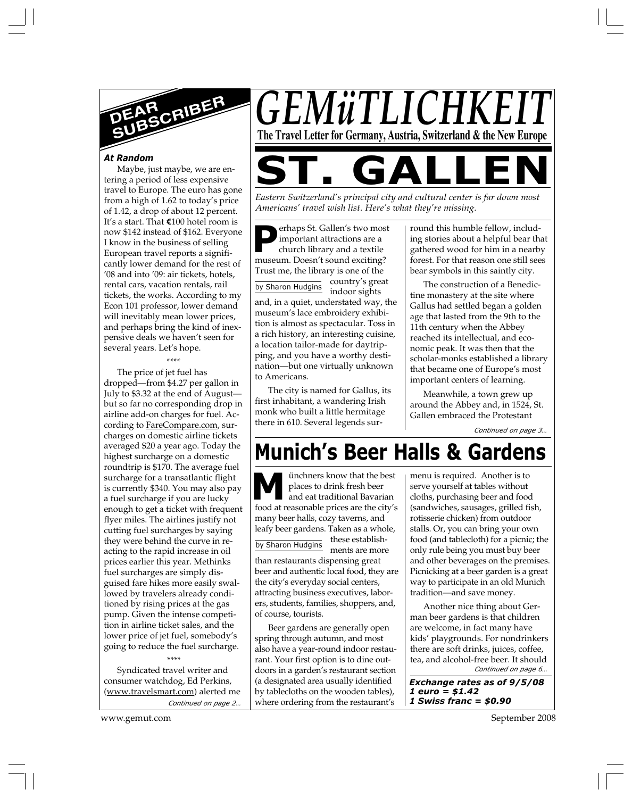

### *At Random*

Maybe, just maybe, we are entering a period of less expensive travel to Europe. The euro has gone from a high of 1.62 to today's price of 1.42, a drop of about 12 percent. It's a start. That **E**100 hotel room is now \$142 instead of \$162. Everyone I know in the business of selling European travel reports a significantly lower demand for the rest of '08 and into '09: air tickets, hotels, rental cars, vacation rentals, rail tickets, the works. According to my Econ 101 professor, lower demand will inevitably mean lower prices, and perhaps bring the kind of inexpensive deals we haven't seen for several years. Let's hope.

#### \*\*\*\*

The price of jet fuel has dropped—from \$4.27 per gallon in July to \$3.32 at the end of August but so far no corresponding drop in airline add-on charges for fuel. According to FareCompare.com, surcharges on domestic airline tickets averaged \$20 a year ago. Today the highest surcharge on a domestic roundtrip is \$170. The average fuel surcharge for a transatlantic flight is currently \$340. You may also pay a fuel surcharge if you are lucky enough to get a ticket with frequent flyer miles. The airlines justify not cutting fuel surcharges by saying they were behind the curve in reacting to the rapid increase in oil prices earlier this year. Methinks fuel surcharges are simply disguised fare hikes more easily swallowed by travelers already conditioned by rising prices at the gas pump. Given the intense competition in airline ticket sales, and the lower price of jet fuel, somebody's going to reduce the fuel surcharge.

*Continued on page 2…* Syndicated travel writer and consumer watchdog, Ed Perkins, (www.travelsmart.com) alerted me

\*\*\*\*

www.gemut.com September 2008

*GEMüTLICHK* **The Travel Letter for Germany, Austria, Switzerland & the New Europe**

**ST. GALLEN**

*Eastern Switzerland's principal city and cultural center is far down most Americans' travel wish list. Here's what they're missing.*

by Sharon Hudgins **P**erhaps St. Gallen's two most important attractions are a church library and a textile museum. Doesn't sound exciting? Trust me, the library is one of the country's great indoor sights

and, in a quiet, understated way, the museum's lace embroidery exhibition is almost as spectacular. Toss in a rich history, an interesting cuisine, a location tailor-made for daytripping, and you have a worthy destination—but one virtually unknown to Americans.

The city is named for Gallus, its first inhabitant, a wandering Irish monk who built a little hermitage there in 610. Several legends sur-

round this humble fellow, including stories about a helpful bear that gathered wood for him in a nearby forest. For that reason one still sees bear symbols in this saintly city.

The construction of a Benedictine monastery at the site where Gallus had settled began a golden age that lasted from the 9th to the 11th century when the Abbey reached its intellectual, and economic peak. It was then that the scholar-monks established a library that became one of Europe's most important centers of learning.

Meanwhile, a town grew up around the Abbey and, in 1524, St. Gallen embraced the Protestant

*Continued on page 3…*

# **Munich's Beer Halls & Gardens**

ünchners know that the best places to drink fresh beer and eat traditional Bavarian **M** inchners know that the best<br>places to drink fresh beer<br>food at reasonable prices are the city's many beer halls, cozy taverns, and leafy beer gardens. Taken as a whole, these establishments are more than restaurants dispensing great beer and authentic local food, they are the city's everyday social centers, attracting business executives, laborers, students, families, shoppers, and, of course, tourists. by Sharon Hudgins

Beer gardens are generally open spring through autumn, and most also have a year-round indoor restaurant. Your first option is to dine outdoors in a garden's restaurant section (a designated area usually identified by tablecloths on the wooden tables), where ordering from the restaurant's

menu is required. Another is to serve yourself at tables without cloths, purchasing beer and food (sandwiches, sausages, grilled fish, rotisserie chicken) from outdoor stalls. Or, you can bring your own food (and tablecloth) for a picnic; the only rule being you must buy beer and other beverages on the premises. Picnicking at a beer garden is a great way to participate in an old Munich tradition—and save money.

*Continued on page 6…* Another nice thing about German beer gardens is that children are welcome, in fact many have kids' playgrounds. For nondrinkers there are soft drinks, juices, coffee, tea, and alcohol-free beer. It should

*Exchange rates as of 9/5/08 1 euro = \$1.42 1 Swiss franc = \$0.90*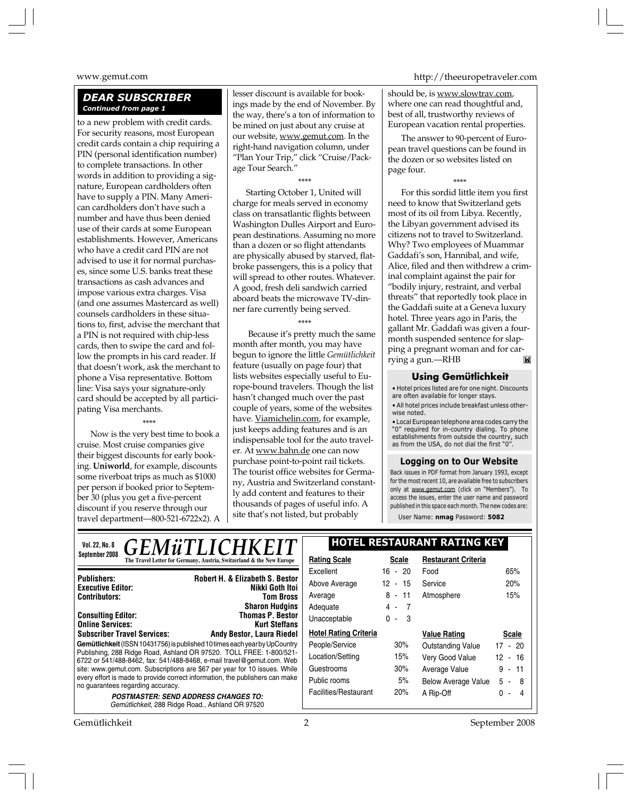# *DEAR SUBSCRIBER Continued from page 1*

to a new problem with credit cards. For security reasons, most European credit cards contain a chip requiring a PIN (personal identification number) to complete transactions. In other words in addition to providing a signature, European cardholders often have to supply a PIN. Many American cardholders don't have such a number and have thus been denied use of their cards at some European establishments. However, Americans who have a credit card PIN are not advised to use it for normal purchases, since some U.S. banks treat these transactions as cash advances and impose various extra charges. Visa (and one assumes Mastercard as well) counsels cardholders in these situations to, first, advise the merchant that a PIN is not required with chip-less cards, then to swipe the card and follow the prompts in his card reader. If that doesn't work, ask the merchant to phone a Visa representative. Bottom line: Visa says your signature-only card should be accepted by all participating Visa merchants.

#### \*\*\*\*

Now is the very best time to book a cruise. Most cruise companies give their biggest discounts for early booking. **Uniworld**, for example, discounts some riverboat trips as much as \$1000 per person if booked prior to September 30 (plus you get a five-percent discount if you reserve through our travel department—800-521-6722x2). A

lesser discount is available for bookings made by the end of November. By the way, there's a ton of information to be mined on just about any cruise at our website, www.gemut.com. In the right-hand navigation column, under "Plan Your Trip," click "Cruise/Package Tour Search."

\*\*\*\* Starting October 1, United will charge for meals served in economy class on transatlantic flights between Washington Dulles Airport and European destinations. Assuming no more than a dozen or so flight attendants are physically abused by starved, flatbroke passengers, this is a policy that will spread to other routes. Whatever. A good, fresh deli sandwich carried aboard beats the microwave TV-dinner fare currently being served.

# \*\*\*\*

 Because it's pretty much the same month after month, you may have begun to ignore the little *Gemütlichkeit* feature (usually on page four) that lists websites especially useful to Europe-bound travelers. Though the list hasn't changed much over the past couple of years, some of the websites have. Viamichelin.com, for example, just keeps adding features and is an indispensable tool for the auto traveler. At <u>www.bahn.de</u> one can now purchase point-to-point rail tickets. The tourist office websites for Germany, Austria and Switzerland constantly add content and features to their thousands of pages of useful info. A site that's not listed, but probably

www.gemut.com http://theeuropetraveler.com

should be, is www.slowtrav.com, where one can read thoughtful and, best of all, trustworthy reviews of European vacation rental properties.

The answer to 90-percent of European travel questions can be found in the dozen or so websites listed on page four.

\*\*\*\*

For this sordid little item you first need to know that Switzerland gets most of its oil from Libya. Recently, the Libyan government advised its citizens not to travel to Switzerland. Why? Two employees of Muammar Gaddafi's son, Hannibal, and wife, Alice, filed and then withdrew a criminal complaint against the pair for "bodily injury, restraint, and verbal threats" that reportedly took place in the Gaddafi suite at a Geneva luxury hotel. Three years ago in Paris, the gallant Mr. Gaddafi was given a fourmonth suspended sentence for slapping a pregnant woman and for car- $\blacksquare$ rying a gun.—RHB

## **Using Gemütlichkeit**

• Hotel prices listed are for one night. Discounts are often available for longer stays.

• All hotel prices include breakfast unless otherwise noted.

• Local European telephone area codes carry the "0" required for in-country dialing. To phone establishments from outside the country, such as from the USA, do not dial the first "0".

#### **Logging on to Our Website**

Back issues in PDF format from January 1993, except for the most recent 10, are available free to subscribers only at www.gemut.com (click on "Members"). To access the issues, enter the user name and password published in this space each month. The new codes are:

User Name: **nmag** Password: **5082**

| <b>GEMüTLICHKEIT</b><br>Vol. 22, No. 8                                                                                                       | <b>HOTEL RESTAURANT RATING KEY</b> |              |                            |              |
|----------------------------------------------------------------------------------------------------------------------------------------------|------------------------------------|--------------|----------------------------|--------------|
| September 2008<br>The Travel Letter for Germany, Austria, Switzerland & the New Europe                                                       | <b>Rating Scale</b>                | <b>Scale</b> | <b>Restaurant Criteria</b> |              |
| <b>Publishers:</b>                                                                                                                           | Excellent                          | 16 - 20      | Food                       | 65%          |
| <b>Robert H. &amp; Elizabeth S. Bestor</b><br>Nikki Goth Itoi<br><b>Executive Editor:</b>                                                    | Above Average                      | 12 - 15      | Service                    | 20%          |
| <b>Contributors:</b><br><b>Tom Bross</b>                                                                                                     | Average                            | 8 - 11       | Atmosphere                 | 15%          |
| <b>Sharon Hudgins</b>                                                                                                                        | Adequate                           | 4 -<br>- 7   |                            |              |
| <b>Thomas P. Bestor</b><br><b>Consulting Editor:</b><br><b>Online Services:</b><br><b>Kurt Steffans</b>                                      | Unacceptable                       | $0 - 3$      |                            |              |
| <b>Subscriber Travel Services:</b><br><b>Andy Bestor, Laura Riedel</b>                                                                       | <b>Hotel Rating Criteria</b>       |              | <b>Value Rating</b>        | <b>Scale</b> |
| Gemütlichkeit (ISSN 10431756) is published 10 times each year by UpCountry                                                                   | People/Service                     | 30%          | Outstanding Value          | $17 - 20$    |
| Publishing, 288 Ridge Road, Ashland OR 97520. TOLL FREE: 1-800/521-<br>6722 or 541/488-8462, fax: 541/488-8468, e-mail travel@gemut.com. Web | Location/Setting                   | 15%          | Very Good Value            | 12 - 16      |
| site: www.gemut.com. Subscriptions are \$67 per year for 10 issues. While                                                                    | Guestrooms                         | 30%          | Average Value              | $9 - 11$     |
| every effort is made to provide correct information, the publishers can make<br>no guarantees regarding accuracy.                            | Public rooms                       | 5%           | <b>Below Average Value</b> | $5 - 8$      |
| <b>POSTMASTER: SEND ADDRESS CHANGES TO:</b>                                                                                                  | Facilities/Restaurant              | 20%          | A Rip-Off                  | 0 -          |
| Gemütlichkeit, 288 Ridge Road., Ashland OR 97520                                                                                             |                                    |              |                            |              |

Gemütlichkeit 2 September 2008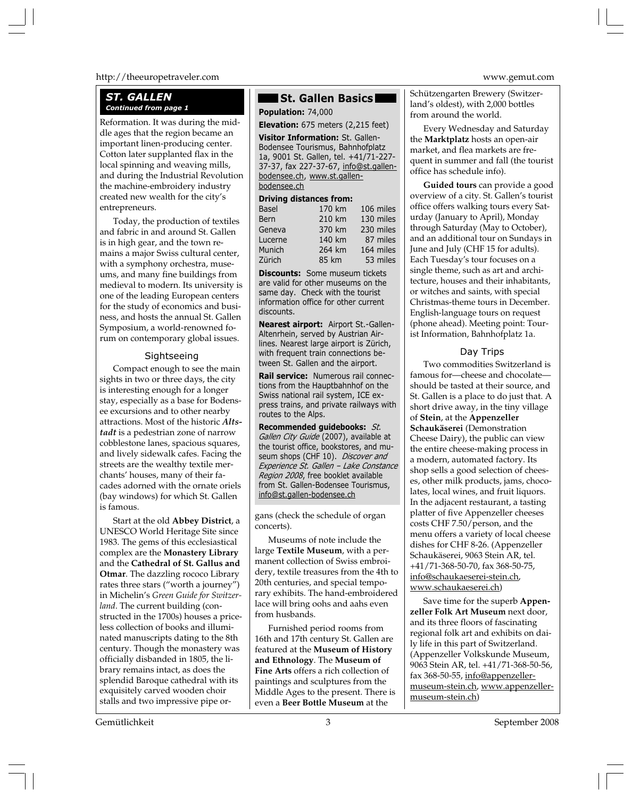#### http://theeuropetraveler.com www.gemut.com

# *ST. GALLEN Continued from page 1* **Population:** 74,000

Reformation. It was during the middle ages that the region became an important linen-producing center. Cotton later supplanted flax in the local spinning and weaving mills, and during the Industrial Revolution the machine-embroidery industry created new wealth for the city's entrepreneurs.

Today, the production of textiles and fabric in and around St. Gallen is in high gear, and the town remains a major Swiss cultural center, with a symphony orchestra, museums, and many fine buildings from medieval to modern. Its university is one of the leading European centers for the study of economics and business, and hosts the annual St. Gallen Symposium, a world-renowned forum on contemporary global issues.

### Sightseeing

Compact enough to see the main sights in two or three days, the city is interesting enough for a longer stay, especially as a base for Bodensee excursions and to other nearby attractions. Most of the historic *Altstadt* is a pedestrian zone of narrow cobblestone lanes, spacious squares, and lively sidewalk cafes. Facing the streets are the wealthy textile merchants' houses, many of their facades adorned with the ornate oriels (bay windows) for which St. Gallen is famous.

Start at the old **Abbey District**, a UNESCO World Heritage Site since 1983. The gems of this ecclesiastical complex are the **Monastery Library** and the **Cathedral of St. Gallus and Otmar**. The dazzling rococo Library rates three stars ("worth a journey") in Michelin's *Green Guide for Switzerland*. The current building (constructed in the 1700s) houses a priceless collection of books and illuminated manuscripts dating to the 8th century. Though the monastery was officially disbanded in 1805, the library remains intact, as does the splendid Baroque cathedral with its exquisitely carved wooden choir stalls and two impressive pipe or-

# **St. Gallen Basics**

**Elevation:** 675 meters (2,215 feet)

**Visitor Information:** St. Gallen-Bodensee Tourismus, Bahnhofplatz 1a, 9001 St. Gallen, tel. +41/71-227- 37-37, fax 227-37-67, info@st.gallenbodensee.ch, www.st.gallenbodensee.ch

#### **Driving distances from:**

| <b>Basel</b> | 170 km | 106 miles |
|--------------|--------|-----------|
| <b>Bern</b>  | 210 km | 130 miles |
| Geneva       | 370 km | 230 miles |
| Lucerne      | 140 km | 87 miles  |
| Munich       | 264 km | 164 miles |
| Zürich       | 85 km  | 53 miles  |

**Discounts:** Some museum tickets are valid for other museums on the same day. Check with the tourist information office for other current discounts.

**Nearest airport:** Airport St.-Gallen-Altenrhein, served by Austrian Airlines. Nearest large airport is Zürich, with frequent train connections between St. Gallen and the airport.

**Rail service:** Numerous rail connections from the Hauptbahnhof on the Swiss national rail system, ICE express trains, and private railways with routes to the Alps.

**Recommended guidebooks:** *St. Gallen City Guide* (2007), available at the tourist office, bookstores, and museum shops (CHF 10). *Discover and Experience St. Gallen – Lake Constance Region 2008*, free booklet available from St. Gallen-Bodensee Tourismus, info@st.gallen-bodensee.ch

gans (check the schedule of organ concerts).

Museums of note include the large **Textile Museum**, with a permanent collection of Swiss embroidery, textile treasures from the 4th to 20th centuries, and special temporary exhibits. The hand-embroidered lace will bring oohs and aahs even from husbands.

Furnished period rooms from 16th and 17th century St. Gallen are featured at the **Museum of History and Ethnology**. The **Museum of Fine Arts** offers a rich collection of paintings and sculptures from the Middle Ages to the present. There is even a **Beer Bottle Museum** at the

Schützengarten Brewery (Switzerland's oldest), with 2,000 bottles from around the world.

Every Wednesday and Saturday the **Marktplatz** hosts an open-air market, and flea markets are frequent in summer and fall (the tourist office has schedule info).

**Guided tours** can provide a good overview of a city. St. Gallen's tourist office offers walking tours every Saturday (January to April), Monday through Saturday (May to October), and an additional tour on Sundays in June and July (CHF 15 for adults). Each Tuesday's tour focuses on a single theme, such as art and architecture, houses and their inhabitants, or witches and saints, with special Christmas-theme tours in December. English-language tours on request (phone ahead). Meeting point: Tourist Information, Bahnhofplatz 1a.

#### Day Trips

Two commodities Switzerland is famous for—cheese and chocolate should be tasted at their source, and St. Gallen is a place to do just that. A short drive away, in the tiny village of **Stein**, at the **Appenzeller Schaukäserei** (Demonstration Cheese Dairy), the public can view the entire cheese-making process in a modern, automated factory. Its shop sells a good selection of cheeses, other milk products, jams, chocolates, local wines, and fruit liquors. In the adjacent restaurant, a tasting platter of five Appenzeller cheeses costs CHF 7.50/person, and the menu offers a variety of local cheese dishes for CHF 8-26. (Appenzeller Schaukäserei, 9063 Stein AR, tel. +41/71-368-50-70, fax 368-50-75, info@schaukaeserei-stein.ch, www.schaukaeserei.ch)

Save time for the superb **Appenzeller Folk Art Museum** next door, and its three floors of fascinating regional folk art and exhibits on daily life in this part of Switzerland. (Appenzeller Volkskunde Museum, 9063 Stein AR, tel. +41/71-368-50-56, fax 368-50-55, info@appenzellermuseum-stein.ch, www.appenzellermuseum-stein.ch)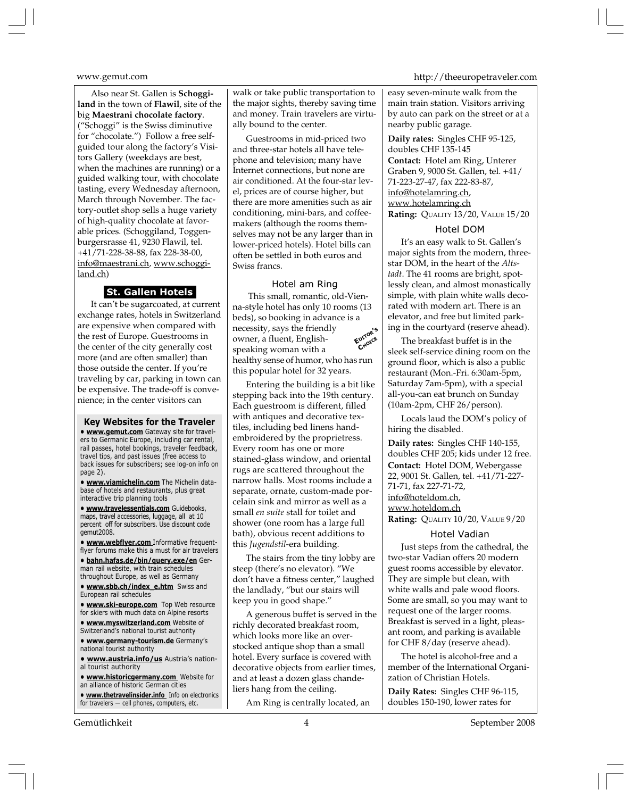Also near St. Gallen is **Schoggiland** in the town of **Flawil**, site of the big **Maestrani chocolate factory**. ("Schoggi" is the Swiss diminutive for "chocolate.") Follow a free selfguided tour along the factory's Visitors Gallery (weekdays are best, when the machines are running) or a guided walking tour, with chocolate tasting, every Wednesday afternoon, March through November. The factory-outlet shop sells a huge variety of high-quality chocolate at favorable prices. (Schoggiland, Toggenburgersrasse 41, 9230 Flawil, tel. +41/71-228-38-88, fax 228-38-00, info@maestrani.ch, www.schoggiland.ch)

### **St. Gallen Hotels**

It can't be sugarcoated, at current exchange rates, hotels in Switzerland are expensive when compared with the rest of Europe. Guestrooms in the center of the city generally cost more (and are often smaller) than those outside the center. If you're traveling by car, parking in town can be expensive. The trade-off is convenience; in the center visitors can

**Key Websites for the Traveler • www.gemut.com** Gateway site for travelers to Germanic Europe, including car rental, rail passes, hotel bookings, traveler feedback, travel tips, and past issues (free access to back issues for subscribers; see log-on info on page 2).

**• www.viamichelin.com** The Michelin database of hotels and restaurants, plus great interactive trip planning tools

**• www.travelessentials.com** Guidebooks, maps, travel accessories, luggage, all at 10 percent off for subscribers. Use discount code gemut2008.

**• www.webflyer.com** Informative frequentflyer forums make this a must for air travelers

**• bahn.hafas.de/bin/query.exe/en** German rail website, with train schedules throughout Europe, as well as Germany

**• www.sbb.ch/index\_e.htm** Swiss and European rail schedules

**• www.ski-europe.com** Top Web resource for skiers with much data on Alpine resorts

**• www.myswitzerland.com** Website of Switzerland's national tourist authority

**• www.germany-tourism.de** Germany's national tourist authority

**• www.austria.info/us** Austria's national tourist authority

**• www.historicgermany.com** Website for an alliance of historic German cities

**• www.thetravelinsider.info** Info on electronics for travelers — cell phones, computers, etc.

Gemütlichkeit 4 September 2008

walk or take public transportation to the major sights, thereby saving time and money. Train travelers are virtually bound to the center.

Guestrooms in mid-priced two and three-star hotels all have telephone and television; many have Internet connections, but none are air conditioned. At the four-star level, prices are of course higher, but there are more amenities such as air conditioning, mini-bars, and coffeemakers (although the rooms themselves may not be any larger than in lower-priced hotels). Hotel bills can often be settled in both euros and Swiss francs.

## Hotel am Ring

**EDITOR'<sup>S</sup> CHOICE** This small, romantic, old-Vienna-style hotel has only 10 rooms (13 beds), so booking in advance is a necessity, says the friendly owner, a fluent, Englishspeaking woman with a healthy sense of humor, who has run this popular hotel for 32 years.

Entering the building is a bit like stepping back into the 19th century. Each guestroom is different, filled with antiques and decorative textiles, including bed linens handembroidered by the proprietress. Every room has one or more stained-glass window, and oriental rugs are scattered throughout the narrow halls. Most rooms include a separate, ornate, custom-made porcelain sink and mirror as well as a small *en suite* stall for toilet and shower (one room has a large full bath), obvious recent additions to this *Jugendstil*-era building.

The stairs from the tiny lobby are steep (there's no elevator). "We don't have a fitness center," laughed the landlady, "but our stairs will keep you in good shape."

A generous buffet is served in the richly decorated breakfast room, which looks more like an overstocked antique shop than a small hotel. Every surface is covered with decorative objects from earlier times, and at least a dozen glass chandeliers hang from the ceiling.

Am Ring is centrally located, an

www.gemut.com http://theeuropetraveler.com

easy seven-minute walk from the main train station. Visitors arriving by auto can park on the street or at a nearby public garage.

**Daily rates:** Singles CHF 95-125, doubles CHF 135-145 **Contact:** Hotel am Ring, Unterer Graben 9, 9000 St. Gallen, tel. +41/ 71-223-27-47, fax 222-83-87, info@hotelamring.ch, www.hotelamring.ch **Rating:** QUALITY 13/20, VALUE 15/20

#### Hotel DOM

It's an easy walk to St. Gallen's major sights from the modern, threestar DOM, in the heart of the *Altstadt*. The 41 rooms are bright, spotlessly clean, and almost monastically simple, with plain white walls decorated with modern art. There is an elevator, and free but limited parking in the courtyard (reserve ahead).

The breakfast buffet is in the sleek self-service dining room on the ground floor, which is also a public restaurant (Mon.-Fri. 6:30am-5pm, Saturday 7am-5pm), with a special all-you-can eat brunch on Sunday (10am-2pm, CHF 26/person).

Locals laud the DOM's policy of hiring the disabled.

**Daily rates:** Singles CHF 140-155, doubles CHF 205; kids under 12 free. **Contact:** Hotel DOM, Webergasse 22, 9001 St. Gallen, tel. +41/71-227- 71-71, fax 227-71-72, info@hoteldom.ch, www.hoteldom.ch **Rating:** QUALITY 10/20, VALUE 9/20

#### Hotel Vadian

Just steps from the cathedral, the two-star Vadian offers 20 modern guest rooms accessible by elevator. They are simple but clean, with white walls and pale wood floors. Some are small, so you may want to request one of the larger rooms. Breakfast is served in a light, pleasant room, and parking is available for CHF 8/day (reserve ahead).

The hotel is alcohol-free and a member of the International Organization of Christian Hotels.

**Daily Rates:** Singles CHF 96-115, doubles 150-190, lower rates for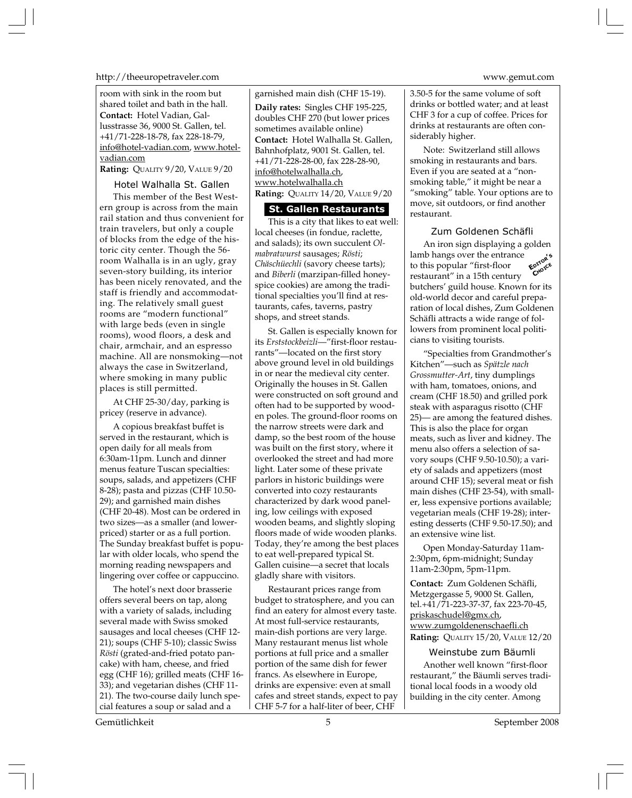http://theeuropetraveler.com www.gemut.com

room with sink in the room but shared toilet and bath in the hall. **Contact:** Hotel Vadian, Gallusstrasse 36, 9000 St. Gallen, tel. +41/71-228-18-78, fax 228-18-79, info@hotel-vadian.com, www.hotelvadian.com

**Rating:** QUALITY 9/20, VALUE 9/20

### Hotel Walhalla St. Gallen

This member of the Best Western group is across from the main rail station and thus convenient for train travelers, but only a couple of blocks from the edge of the historic city center. Though the 56 room Walhalla is in an ugly, gray seven-story building, its interior has been nicely renovated, and the staff is friendly and accommodating. The relatively small guest rooms are "modern functional" with large beds (even in single rooms), wood floors, a desk and chair, armchair, and an espresso machine. All are nonsmoking—not always the case in Switzerland, where smoking in many public places is still permitted.

At CHF 25-30/day, parking is pricey (reserve in advance).

A copious breakfast buffet is served in the restaurant, which is open daily for all meals from 6:30am-11pm. Lunch and dinner menus feature Tuscan specialties: soups, salads, and appetizers (CHF 8-28); pasta and pizzas (CHF 10.50- 29); and garnished main dishes (CHF 20-48). Most can be ordered in two sizes—as a smaller (and lowerpriced) starter or as a full portion. The Sunday breakfast buffet is popular with older locals, who spend the morning reading newspapers and lingering over coffee or cappuccino.

The hotel's next door brasserie offers several beers on tap, along with a variety of salads, including several made with Swiss smoked sausages and local cheeses (CHF 12- 21); soups (CHF 5-10); classic Swiss *Rösti* (grated-and-fried potato pancake) with ham, cheese, and fried egg (CHF 16); grilled meats (CHF 16- 33); and vegetarian dishes (CHF 11- 21). The two-course daily lunch special features a soup or salad and a

garnished main dish (CHF 15-19). **Daily rates:** Singles CHF 195-225, doubles CHF 270 (but lower prices sometimes available online) **Contact:** Hotel Walhalla St. Gallen, Bahnhofplatz, 9001 St. Gallen, tel. +41/71-228-28-00, fax 228-28-90, info@hotelwalhalla.ch, www.hotelwalhalla.ch **Rating:** QUALITY 14/20, VALUE 9/20

### **St. Gallen Restaurants**

This is a city that likes to eat well: local cheeses (in fondue, raclette, and salads); its own succulent *Olmabratwurst* sausages; *Rösti*; *Chäschüechli* (savory cheese tarts); and *Biberli* (marzipan-filled honeyspice cookies) are among the traditional specialties you'll find at restaurants, cafes, taverns, pastry shops, and street stands.

St. Gallen is especially known for its *Erststockbeizli*—"first-floor restaurants"—located on the first story above ground level in old buildings in or near the medieval city center. Originally the houses in St. Gallen were constructed on soft ground and often had to be supported by wooden poles. The ground-floor rooms on the narrow streets were dark and damp, so the best room of the house was built on the first story, where it overlooked the street and had more light. Later some of these private parlors in historic buildings were converted into cozy restaurants characterized by dark wood paneling, low ceilings with exposed wooden beams, and slightly sloping floors made of wide wooden planks. Today, they're among the best places to eat well-prepared typical St. Gallen cuisine—a secret that locals gladly share with visitors.

Restaurant prices range from budget to stratosphere, and you can find an eatery for almost every taste. At most full-service restaurants, main-dish portions are very large. Many restaurant menus list whole portions at full price and a smaller portion of the same dish for fewer francs. As elsewhere in Europe, drinks are expensive: even at small cafes and street stands, expect to pay CHF 5-7 for a half-liter of beer, CHF

3.50-5 for the same volume of soft drinks or bottled water; and at least CHF 3 for a cup of coffee. Prices for drinks at restaurants are often considerably higher.

Note: Switzerland still allows smoking in restaurants and bars. Even if you are seated at a "nonsmoking table," it might be near a "smoking" table. Your options are to move, sit outdoors, or find another restaurant.

#### Zum Goldenen Schäfli

An iron sign displaying a golden lamb hangs over the entrance to this popular "first-floor restaurant" in a 15th century butchers' guild house. Known for its old-world decor and careful preparation of local dishes, Zum Goldenen Schäfli attracts a wide range of followers from prominent local politicians to visiting tourists. **EDITOR'<sup>S</sup> CHOICE**

"Specialties from Grandmother's Kitchen"—such as *Spätzle nach Grossmutter-Art*, tiny dumplings with ham, tomatoes, onions, and cream (CHF 18.50) and grilled pork steak with asparagus risotto (CHF 25)— are among the featured dishes. This is also the place for organ meats, such as liver and kidney. The menu also offers a selection of savory soups (CHF 9.50-10.50); a variety of salads and appetizers (most around CHF 15); several meat or fish main dishes (CHF 23-54), with smaller, less expensive portions available; vegetarian meals (CHF 19-28); interesting desserts (CHF 9.50-17.50); and an extensive wine list.

Open Monday-Saturday 11am-2:30pm, 6pm-midnight; Sunday 11am-2:30pm, 5pm-11pm.

**Contact:** Zum Goldenen Schäfli, Metzgergasse 5, 9000 St. Gallen, tel.+41/71-223-37-37, fax 223-70-45, priskaschudel@gmx.ch, www.zumgoldenenschaefli.ch **Rating:** QUALITY 15/20, VALUE 12/20

Weinstube zum Bäumli Another well known "first-floor restaurant," the Bäumli serves traditional local foods in a woody old building in the city center. Among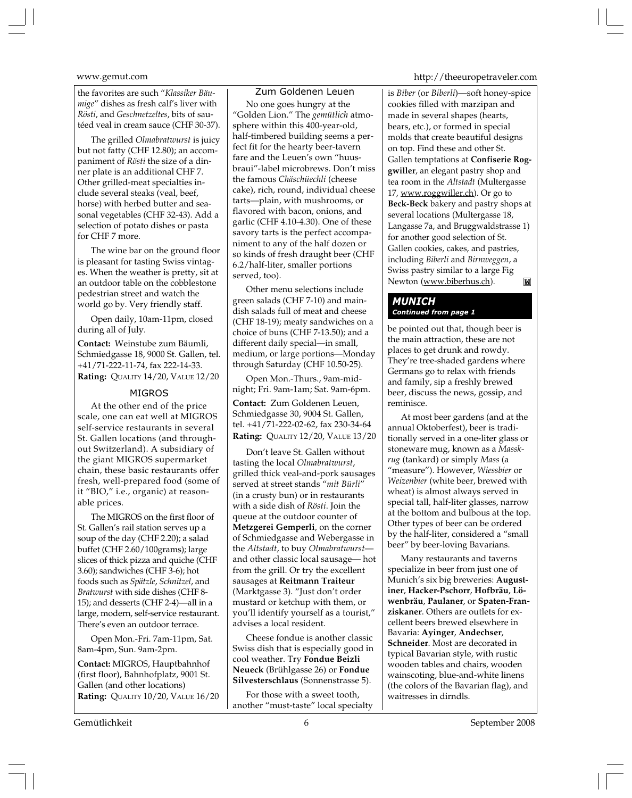the favorites are such "*Klassiker Bäumige*" dishes as fresh calf's liver with *Rösti*, and *Geschnetzeltes*, bits of sautéed veal in cream sauce (CHF 30-37).

The grilled *Olmabratwurst* is juicy but not fatty (CHF 12.80); an accompaniment of *Rösti* the size of a dinner plate is an additional CHF 7. Other grilled-meat specialties include several steaks (veal, beef, horse) with herbed butter and seasonal vegetables (CHF 32-43). Add a selection of potato dishes or pasta for CHF 7 more.

The wine bar on the ground floor is pleasant for tasting Swiss vintages. When the weather is pretty, sit at an outdoor table on the cobblestone pedestrian street and watch the world go by. Very friendly staff.

Open daily, 10am-11pm, closed during all of July.

**Contact:** Weinstube zum Bäumli, Schmiedgasse 18, 9000 St. Gallen, tel. +41/71-222-11-74, fax 222-14-33. **Rating:** QUALITY 14/20, VALUE 12/20

#### MIGROS

At the other end of the price scale, one can eat well at MIGROS self-service restaurants in several St. Gallen locations (and throughout Switzerland). A subsidiary of the giant MIGROS supermarket chain, these basic restaurants offer fresh, well-prepared food (some of it "BIO," i.e., organic) at reasonable prices.

The MIGROS on the first floor of St. Gallen's rail station serves up a soup of the day (CHF 2.20); a salad buffet (CHF 2.60/100grams); large slices of thick pizza and quiche (CHF 3.60); sandwiches (CHF 3-6); hot foods such as *Spätzle*, *Schnitzel*, and *Bratwurst* with side dishes (CHF 8- 15); and desserts (CHF 2-4)—all in a large, modern, self-service restaurant. There's even an outdoor terrace.

Open Mon.-Fri. 7am-11pm, Sat. 8am-4pm, Sun. 9am-2pm.

**Contact:** MIGROS, Hauptbahnhof (first floor), Bahnhofplatz, 9001 St. Gallen (and other locations) **Rating:** QUALITY 10/20, VALUE 16/20

### Zum Goldenen Leuen

No one goes hungry at the "Golden Lion." The *gemütlich* atmosphere within this 400-year-old, half-timbered building seems a perfect fit for the hearty beer-tavern fare and the Leuen's own "huusbraui"-label microbrews. Don't miss the famous *Chäschüechli* (cheese cake), rich, round, individual cheese tarts—plain, with mushrooms, or flavored with bacon, onions, and garlic (CHF 4.10-4.30). One of these savory tarts is the perfect accompaniment to any of the half dozen or so kinds of fresh draught beer (CHF 6.2/half-liter, smaller portions served, too).

Other menu selections include green salads (CHF 7-10) and maindish salads full of meat and cheese (CHF 18-19); meaty sandwiches on a choice of buns (CHF 7-13.50); and a different daily special—in small, medium, or large portions—Monday through Saturday (CHF 10.50-25).

Open Mon.-Thurs., 9am-midnight; Fri. 9am-1am; Sat. 9am-6pm.

**Contact:** Zum Goldenen Leuen, Schmiedgasse 30, 9004 St. Gallen, tel. +41/71-222-02-62, fax 230-34-64 **Rating:** QUALITY 12/20, VALUE 13/20

Don't leave St. Gallen without tasting the local *Olmabratwurst*, grilled thick veal-and-pork sausages served at street stands "*mit Bürli*" (in a crusty bun) or in restaurants with a side dish of *Rösti*. Join the queue at the outdoor counter of **Metzgerei Gemperli**, on the corner of Schmiedgasse and Webergasse in the *Altstadt*, to buy *Olmabratwurst* and other classic local sausage— hot from the grill. Or try the excellent sausages at **Reitmann Traiteur** (Marktgasse 3). "Just don't order mustard or ketchup with them, or you'll identify yourself as a tourist," advises a local resident.

Cheese fondue is another classic Swiss dish that is especially good in cool weather. Try **Fondue Beizli Neueck** (Brühlgasse 26) or **Fondue Silvesterschlaus** (Sonnenstrasse 5).

For those with a sweet tooth, another "must-taste" local specialty

www.gemut.com http://theeuropetraveler.com

is *Biber* (or *Biberli*)—soft honey-spice cookies filled with marzipan and made in several shapes (hearts, bears, etc.), or formed in special molds that create beautiful designs on top. Find these and other St. Gallen temptations at **Confiserie Roggwiller**, an elegant pastry shop and tea room in the *Altstadt* (Multergasse 17, www.roggwiller.ch). Or go to **Beck-Beck** bakery and pastry shops at several locations (Multergasse 18, Langasse 7a, and Bruggwaldstrasse 1) for another good selection of St. Gallen cookies, cakes, and pastries, including *Biberli* and *Birnweggen*, a Swiss pastry similar to a large Fig Newton (www.biberhus.ch).  $\mathbf{M}$ 

# *MUNICH Continued from page 1*

be pointed out that, though beer is the main attraction, these are not places to get drunk and rowdy. They're tree-shaded gardens where Germans go to relax with friends and family, sip a freshly brewed beer, discuss the news, gossip, and reminisce.

At most beer gardens (and at the annual Oktoberfest), beer is traditionally served in a one-liter glass or stoneware mug, known as a *Masskrug* (tankard) or simply *Mass* (a "measure"). However, *Wiessbier* or *Weizenbier* (white beer, brewed with wheat) is almost always served in special tall, half-liter glasses, narrow at the bottom and bulbous at the top. Other types of beer can be ordered by the half-liter, considered a "small beer" by beer-loving Bavarians.

Many restaurants and taverns specialize in beer from just one of Munich's six big breweries: **Augustiner**, **Hacker-Pschorr**, **Hofbräu**, **Löwenbräu**, **Paulaner**, or **Spaten-Franziskaner**. Others are outlets for excellent beers brewed elsewhere in Bavaria: **Ayinger**, **Andechser**, **Schneider**. Most are decorated in typical Bavarian style, with rustic wooden tables and chairs, wooden wainscoting, blue-and-white linens (the colors of the Bavarian flag), and waitresses in dirndls.

Gemütlichkeit 6 September 2008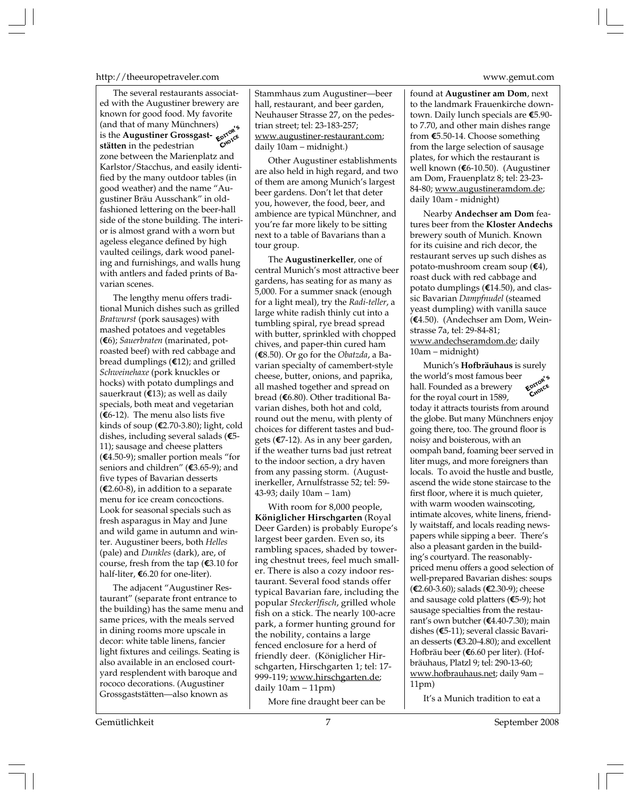#### http://theeuropetraveler.com www.gemut.com

The several restaurants associated with the Augustiner brewery are known for good food. My favorite (and that of many Münchners) is the **Augustiner Grossgast-**<br>**EXPLOSE THE AUGUST OF CHOICE**<br>**STATED** in the pedestrian **stätten** in the pedestrian zone between the Marienplatz and Karlstor/Stacchus, and easily identified by the many outdoor tables (in good weather) and the name "Augustiner Bräu Ausschank" in oldfashioned lettering on the beer-hall side of the stone building. The interior is almost grand with a worn but ageless elegance defined by high vaulted ceilings, dark wood paneling and furnishings, and walls hung with antlers and faded prints of Bavarian scenes.

The lengthy menu offers traditional Munich dishes such as grilled *Bratwurst* (pork sausages) with mashed potatoes and vegetables (**E**6); *Sauerbraten* (marinated, potroasted beef) with red cabbage and bread dumplings (**E**12); and grilled *Schweinehaxe* (pork knuckles or hocks) with potato dumplings and sauerkraut (**E**13); as well as daily specials, both meat and vegetarian (**E**6-12). The menu also lists five kinds of soup (**E**2.70-3.80); light, cold dishes, including several salads (**E**5- 11); sausage and cheese platters (**E**4.50-9); smaller portion meals "for seniors and children" (**E**3.65-9); and five types of Bavarian desserts (**E**2.60-8), in addition to a separate menu for ice cream concoctions. Look for seasonal specials such as fresh asparagus in May and June and wild game in autumn and winter. Augustiner beers, both *Helles* (pale) and *Dunkles* (dark), are, of course, fresh from the tap (**E**3.10 for half-liter, **E**6.20 for one-liter).

The adjacent "Augustiner Restaurant" (separate front entrance to the building) has the same menu and same prices, with the meals served in dining rooms more upscale in decor: white table linens, fancier light fixtures and ceilings. Seating is also available in an enclosed courtyard resplendent with baroque and rococo decorations. (Augustiner Grossgaststätten—also known as

Stammhaus zum Augustiner—beer hall, restaurant, and beer garden, Neuhauser Strasse 27, on the pedestrian street; tel: 23-183-257; www.augustiner-restaurant.com; daily 10am – midnight.)

Other Augustiner establishments are also held in high regard, and two of them are among Munich's largest beer gardens. Don't let that deter you, however, the food, beer, and ambience are typical Münchner, and you're far more likely to be sitting next to a table of Bavarians than a tour group.

The **Augustinerkeller**, one of central Munich's most attractive beer gardens, has seating for as many as 5,000. For a summer snack (enough for a light meal), try the *Radi-teller*, a large white radish thinly cut into a tumbling spiral, rye bread spread with butter, sprinkled with chopped chives, and paper-thin cured ham (**E**8.50). Or go for the *Obatzda*, a Bavarian specialty of camembert-style cheese, butter, onions, and paprika, all mashed together and spread on bread (**E**6.80). Other traditional Bavarian dishes, both hot and cold, round out the menu, with plenty of choices for different tastes and budgets (**E**7-12). As in any beer garden, if the weather turns bad just retreat to the indoor section, a dry haven from any passing storm. (Augustinerkeller, Arnulfstrasse 52; tel: 59- 43-93; daily 10am – 1am)

With room for 8,000 people, **Königlicher Hirschgarten** (Royal Deer Garden) is probably Europe's largest beer garden. Even so, its rambling spaces, shaded by towering chestnut trees, feel much smaller. There is also a cozy indoor restaurant. Several food stands offer typical Bavarian fare, including the popular *Steckerlfisch*, grilled whole fish on a stick. The nearly 100-acre park, a former hunting ground for the nobility, contains a large fenced enclosure for a herd of friendly deer. (Königlicher Hirschgarten, Hirschgarten 1; tel: 17- 999-119; www.hirschgarten.de; daily 10am – 11pm)

More fine draught beer can be

found at **Augustiner am Dom**, next to the landmark Frauenkirche downtown. Daily lunch specials are **E**5.90 to 7.70, and other main dishes range from **E**5.50-14. Choose something from the large selection of sausage plates, for which the restaurant is well known (**E**6-10.50). (Augustiner am Dom, Frauenplatz 8; tel: 23-23- 84-80; www.augustineramdom.de; daily 10am - midnight)

Nearby **Andechser am Dom** features beer from the **Kloster Andechs** brewery south of Munich. Known for its cuisine and rich decor, the restaurant serves up such dishes as potato-mushroom cream soup (**E**4), roast duck with red cabbage and potato dumplings (**E**14.50), and classic Bavarian *Dampfnudel* (steamed yeast dumpling) with vanilla sauce (**E**4.50). (Andechser am Dom, Weinstrasse 7a, tel: 29-84-81; www.andechseramdom.de; daily 10am – midnight)

Munich's **Hofbräuhaus** is surely the world's most famous beer hall. Founded as a brewery for the royal court in 1589, today it attracts tourists from around the globe. But many Münchners enjoy going there, too. The ground floor is noisy and boisterous, with an oompah band, foaming beer served in liter mugs, and more foreigners than locals. To avoid the hustle and bustle, ascend the wide stone staircase to the first floor, where it is much quieter, with warm wooden wainscoting, intimate alcoves, white linens, friendly waitstaff, and locals reading newspapers while sipping a beer. There's also a pleasant garden in the building's courtyard. The reasonablypriced menu offers a good selection of well-prepared Bavarian dishes: soups (**E**2.60-3.60); salads (**E**2.30-9); cheese and sausage cold platters (**E**5-9); hot sausage specialties from the restaurant's own butcher (**E**4.40-7.30); main dishes (**E**5-11); several classic Bavarian desserts (**E**3.20-4.80); and excellent Hofbräu beer (**E**6.60 per liter). (Hofbräuhaus, Platzl 9; tel: 290-13-60; www.hofbrauhaus.net; daily 9am – 11pm) **EDITOR'<sup>S</sup> CHOICE**

It's a Munich tradition to eat a